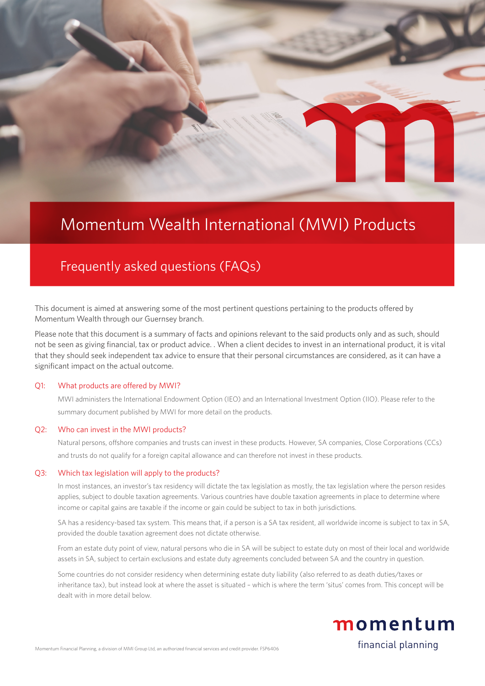# Momentum Wealth International (MWI) Products

## Frequently asked questions (FAQs)

This document is aimed at answering some of the most pertinent questions pertaining to the products offered by Momentum Wealth through our Guernsey branch.

Please note that this document is a summary of facts and opinions relevant to the said products only and as such, should not be seen as giving financial, tax or product advice. . When a client decides to invest in an international product, it is vital that they should seek independent tax advice to ensure that their personal circumstances are considered, as it can have a significant impact on the actual outcome.

### Q1: What products are offered by MWI?

MWI administers the International Endowment Option (IEO) and an International Investment Option (IIO). Please refer to the summary document published by MWI for more detail on the products.

#### Q2: Who can invest in the MWI products?

Natural persons, offshore companies and trusts can invest in these products. However, SA companies, Close Corporations (CCs) and trusts do not qualify for a foreign capital allowance and can therefore not invest in these products.

### Q3: Which tax legislation will apply to the products?

In most instances, an investor's tax residency will dictate the tax legislation as mostly, the tax legislation where the person resides applies, subject to double taxation agreements. Various countries have double taxation agreements in place to determine where income or capital gains are taxable if the income or gain could be subject to tax in both jurisdictions.

SA has a residency-based tax system. This means that, if a person is a SA tax resident, all worldwide income is subject to tax in SA, provided the double taxation agreement does not dictate otherwise.

From an estate duty point of view, natural persons who die in SA will be subject to estate duty on most of their local and worldwide assets in SA, subject to certain exclusions and estate duty agreements concluded between SA and the country in question.

Some countries do not consider residency when determining estate duty liability (also referred to as death duties/taxes or inheritance tax), but instead look at where the asset is situated – which is where the term 'situs' comes from. This concept will be dealt with in more detail below.



financial planning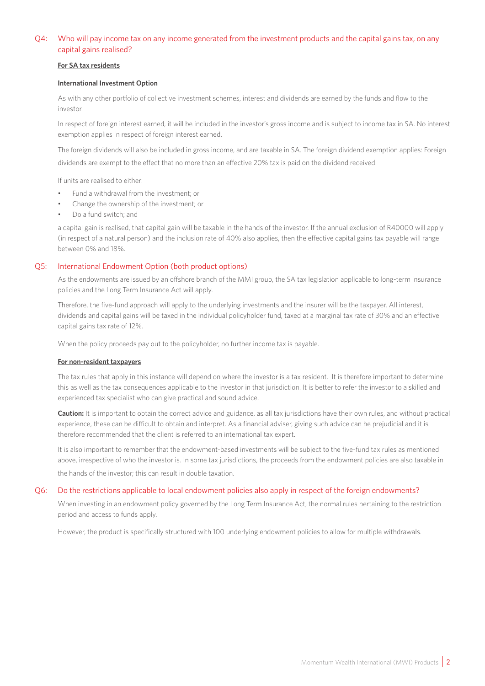### Q4: Who will pay income tax on any income generated from the investment products and the capital gains tax, on any capital gains realised?

### **For SA tax residents**

### **International Investment Option**

As with any other portfolio of collective investment schemes, interest and dividends are earned by the funds and flow to the investor.

In respect of foreign interest earned, it will be included in the investor's gross income and is subject to income tax in SA. No interest exemption applies in respect of foreign interest earned.

The foreign dividends will also be included in gross income, and are taxable in SA. The foreign dividend exemption applies: Foreign dividends are exempt to the effect that no more than an effective 20% tax is paid on the dividend received.

If units are realised to either:

- Fund a withdrawal from the investment; or
- Change the ownership of the investment; or
- Do a fund switch; and

a capital gain is realised, that capital gain will be taxable in the hands of the investor. If the annual exclusion of R40000 will apply (in respect of a natural person) and the inclusion rate of 40% also applies, then the effective capital gains tax payable will range between 0% and 18%.

### Q5: International Endowment Option (both product options)

As the endowments are issued by an offshore branch of the MMI group, the SA tax legislation applicable to long-term insurance policies and the Long Term Insurance Act will apply.

Therefore, the five-fund approach will apply to the underlying investments and the insurer will be the taxpayer. All interest, dividends and capital gains will be taxed in the individual policyholder fund, taxed at a marginal tax rate of 30% and an effective capital gains tax rate of 12%.

When the policy proceeds pay out to the policyholder, no further income tax is payable.

### **For non-resident taxpayers**

The tax rules that apply in this instance will depend on where the investor is a tax resident. It is therefore important to determine this as well as the tax consequences applicable to the investor in that jurisdiction. It is better to refer the investor to a skilled and experienced tax specialist who can give practical and sound advice.

**Caution:** It is important to obtain the correct advice and guidance, as all tax jurisdictions have their own rules, and without practical experience, these can be difficult to obtain and interpret. As a financial adviser, giving such advice can be prejudicial and it is therefore recommended that the client is referred to an international tax expert.

It is also important to remember that the endowment-based investments will be subject to the five-fund tax rules as mentioned above, irrespective of who the investor is. In some tax jurisdictions, the proceeds from the endowment policies are also taxable in the hands of the investor; this can result in double taxation.

### Q6: Do the restrictions applicable to local endowment policies also apply in respect of the foreign endowments?

When investing in an endowment policy governed by the Long Term Insurance Act, the normal rules pertaining to the restriction period and access to funds apply.

However, the product is specifically structured with 100 underlying endowment policies to allow for multiple withdrawals.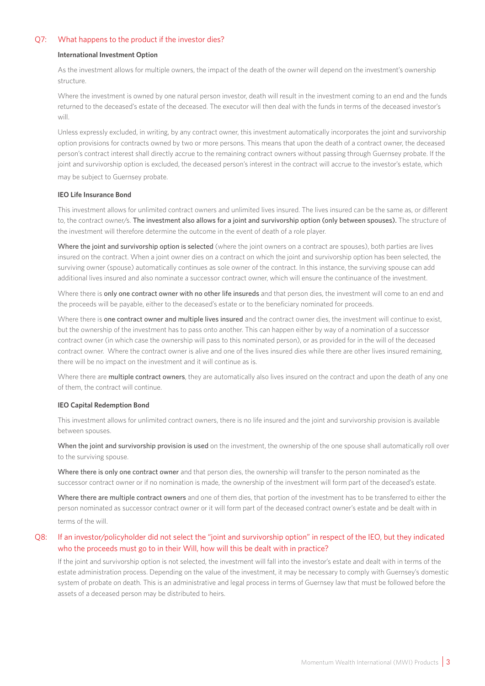### Q7: What happens to the product if the investor dies?

#### **International Investment Option**

As the investment allows for multiple owners, the impact of the death of the owner will depend on the investment's ownership structure.

Where the investment is owned by one natural person investor, death will result in the investment coming to an end and the funds returned to the deceased's estate of the deceased. The executor will then deal with the funds in terms of the deceased investor's will.

Unless expressly excluded, in writing, by any contract owner, this investment automatically incorporates the joint and survivorship option provisions for contracts owned by two or more persons. This means that upon the death of a contract owner, the deceased person's contract interest shall directly accrue to the remaining contract owners without passing through Guernsey probate. If the joint and survivorship option is excluded, the deceased person's interest in the contract will accrue to the investor's estate, which may be subject to Guernsey probate.

#### **IEO Life Insurance Bond**

This investment allows for unlimited contract owners and unlimited lives insured. The lives insured can be the same as, or different to, the contract owner/s. The investment also allows for a joint and survivorship option (only between spouses). The structure of the investment will therefore determine the outcome in the event of death of a role player.

Where the joint and survivorship option is selected (where the joint owners on a contract are spouses), both parties are lives insured on the contract. When a joint owner dies on a contract on which the joint and survivorship option has been selected, the surviving owner (spouse) automatically continues as sole owner of the contract. In this instance, the surviving spouse can add additional lives insured and also nominate a successor contract owner, which will ensure the continuance of the investment.

Where there is only one contract owner with no other life insureds and that person dies, the investment will come to an end and the proceeds will be payable, either to the deceased's estate or to the beneficiary nominated for proceeds.

Where there is one contract owner and multiple lives insured and the contract owner dies, the investment will continue to exist, but the ownership of the investment has to pass onto another. This can happen either by way of a nomination of a successor contract owner (in which case the ownership will pass to this nominated person), or as provided for in the will of the deceased contract owner. Where the contract owner is alive and one of the lives insured dies while there are other lives insured remaining, there will be no impact on the investment and it will continue as is.

Where there are multiple contract owners, they are automatically also lives insured on the contract and upon the death of any one of them, the contract will continue.

#### **IEO Capital Redemption Bond**

This investment allows for unlimited contract owners, there is no life insured and the joint and survivorship provision is available between spouses.

When the joint and survivorship provision is used on the investment, the ownership of the one spouse shall automatically roll over to the surviving spouse.

Where there is only one contract owner and that person dies, the ownership will transfer to the person nominated as the successor contract owner or if no nomination is made, the ownership of the investment will form part of the deceased's estate.

Where there are multiple contract owners and one of them dies, that portion of the investment has to be transferred to either the person nominated as successor contract owner or it will form part of the deceased contract owner's estate and be dealt with in terms of the will.

### Q8: If an investor/policyholder did not select the "joint and survivorship option" in respect of the IEO, but they indicated who the proceeds must go to in their Will, how will this be dealt with in practice?

If the joint and survivorship option is not selected, the investment will fall into the investor's estate and dealt with in terms of the estate administration process. Depending on the value of the investment, it may be necessary to comply with Guernsey's domestic system of probate on death. This is an administrative and legal process in terms of Guernsey law that must be followed before the assets of a deceased person may be distributed to heirs.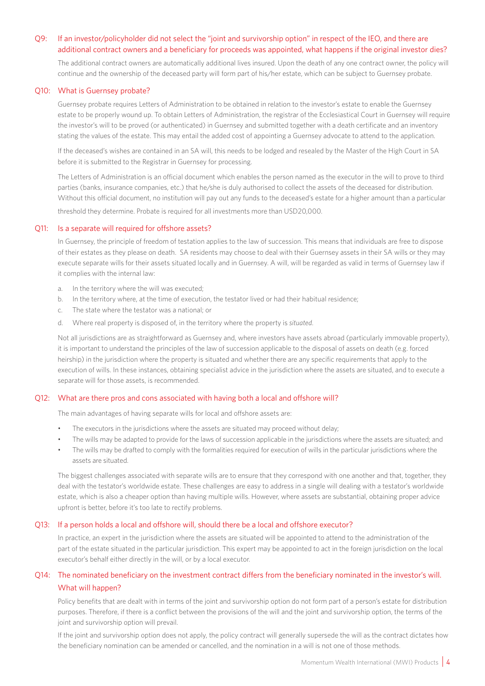### Q9: If an investor/policyholder did not select the "joint and survivorship option" in respect of the IEO, and there are additional contract owners and a beneficiary for proceeds was appointed, what happens if the original investor dies?

The additional contract owners are automatically additional lives insured. Upon the death of any one contract owner, the policy will continue and the ownership of the deceased party will form part of his/her estate, which can be subject to Guernsey probate.

### Q10: What is Guernsey probate?

Guernsey probate requires Letters of Administration to be obtained in relation to the investor's estate to enable the Guernsey estate to be properly wound up. To obtain Letters of Administration, the registrar of the Ecclesiastical Court in Guernsey will require the investor's will to be proved (or authenticated) in Guernsey and submitted together with a death certificate and an inventory stating the values of the estate. This may entail the added cost of appointing a Guernsey advocate to attend to the application.

If the deceased's wishes are contained in an SA will, this needs to be lodged and resealed by the Master of the High Court in SA before it is submitted to the Registrar in Guernsey for processing.

The Letters of Administration is an official document which enables the person named as the executor in the will to prove to third parties (banks, insurance companies, etc.) that he/she is duly authorised to collect the assets of the deceased for distribution. Without this official document, no institution will pay out any funds to the deceased's estate for a higher amount than a particular

threshold they determine. Probate is required for all investments more than USD20,000.

### Q11: Is a separate will required for offshore assets?

In Guernsey, the principle of freedom of testation applies to the law of succession. This means that individuals are free to dispose of their estates as they please on death. SA residents may choose to deal with their Guernsey assets in their SA wills or they may execute separate wills for their assets situated locally and in Guernsey. A will, will be regarded as valid in terms of Guernsey law if it complies with the internal law:

- a. In the territory where the will was executed;
- b. In the territory where, at the time of execution, the testator lived or had their habitual residence;
- c. The state where the testator was a national; or
- d. Where real property is disposed of, in the territory where the property is *situated*.

Not all jurisdictions are as straightforward as Guernsey and, where investors have assets abroad (particularly immovable property), it is important to understand the principles of the law of succession applicable to the disposal of assets on death (e.g. forced heirship) in the jurisdiction where the property is situated and whether there are any specific requirements that apply to the execution of wills. In these instances, obtaining specialist advice in the jurisdiction where the assets are situated, and to execute a separate will for those assets, is recommended.

### Q12: What are there pros and cons associated with having both a local and offshore will?

The main advantages of having separate wills for local and offshore assets are:

- The executors in the jurisdictions where the assets are situated may proceed without delay;
- The wills may be adapted to provide for the laws of succession applicable in the jurisdictions where the assets are situated; and
- The wills may be drafted to comply with the formalities required for execution of wills in the particular jurisdictions where the assets are situated.

The biggest challenges associated with separate wills are to ensure that they correspond with one another and that, together, they deal with the testator's worldwide estate. These challenges are easy to address in a single will dealing with a testator's worldwide estate, which is also a cheaper option than having multiple wills. However, where assets are substantial, obtaining proper advice upfront is better, before it's too late to rectify problems.

### Q13: If a person holds a local and offshore will, should there be a local and offshore executor?

In practice, an expert in the jurisdiction where the assets are situated will be appointed to attend to the administration of the part of the estate situated in the particular jurisdiction. This expert may be appointed to act in the foreign jurisdiction on the local executor's behalf either directly in the will, or by a local executor.

### Q14: The nominated beneficiary on the investment contract differs from the beneficiary nominated in the investor's will. What will happen?

Policy benefits that are dealt with in terms of the joint and survivorship option do not form part of a person's estate for distribution purposes. Therefore, if there is a conflict between the provisions of the will and the joint and survivorship option, the terms of the joint and survivorship option will prevail.

If the joint and survivorship option does not apply, the policy contract will generally supersede the will as the contract dictates how the beneficiary nomination can be amended or cancelled, and the nomination in a will is not one of those methods.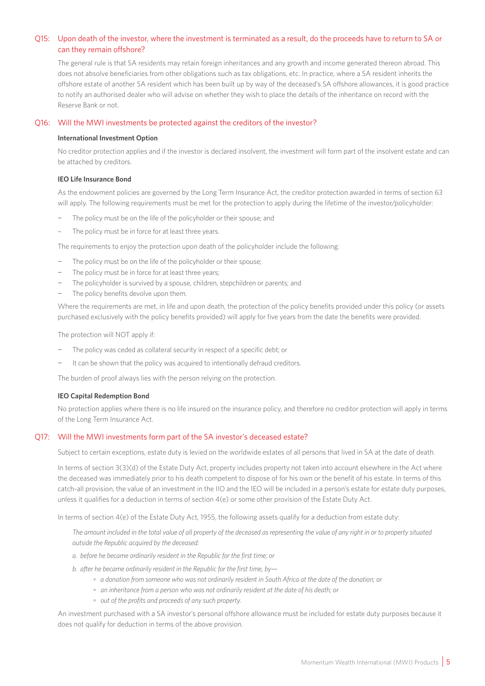### Q15: Upon death of the investor, where the investment is terminated as a result, do the proceeds have to return to SA or can they remain offshore?

The general rule is that SA residents may retain foreign inheritances and any growth and income generated thereon abroad. This does not absolve beneficiaries from other obligations such as tax obligations, etc. In practice, where a SA resident inherits the offshore estate of another SA resident which has been built up by way of the deceased's SA offshore allowances, it is good practice to notify an authorised dealer who will advise on whether they wish to place the details of the inheritance on record with the Reserve Bank or not.

### Q16: Will the MWI investments be protected against the creditors of the investor?

### **International Investment Option**

No creditor protection applies and if the investor is declared insolvent, the investment will form part of the insolvent estate and can be attached by creditors.

### **IEO Life Insurance Bond**

As the endowment policies are governed by the Long Term Insurance Act, the creditor protection awarded in terms of section 63 will apply. The following requirements must be met for the protection to apply during the lifetime of the investor/policyholder:

- The policy must be on the life of the policyholder or their spouse; and
- The policy must be in force for at least three years.

The requirements to enjoy the protection upon death of the policyholder include the following:

- − The policy must be on the life of the policyholder or their spouse;
- The policy must be in force for at least three years;
- The policyholder is survived by a spouse, children, stepchildren or parents; and
- The policy benefits devolve upon them.

Where the requirements are met, in life and upon death, the protection of the policy benefits provided under this policy (or assets purchased exclusively with the policy benefits provided) will apply for five years from the date the benefits were provided.

The protection will NOT apply if:

- The policy was ceded as collateral security in respect of a specific debt; or
- It can be shown that the policy was acquired to intentionally defraud creditors.

The burden of proof always lies with the person relying on the protection.

### **IEO Capital Redemption Bond**

No protection applies where there is no life insured on the insurance policy, and therefore no creditor protection will apply in terms of the Long Term Insurance Act.

### Q17: Will the MWI investments form part of the SA investor's deceased estate?

Subject to certain exceptions, estate duty is levied on the worldwide estates of all persons that lived in SA at the date of death.

In terms of section 3(3)(d) of the Estate Duty Act, property includes property not taken into account elsewhere in the Act where the deceased was immediately prior to his death competent to dispose of for his own or the benefit of his estate. In terms of this catch-all provision, the value of an investment in the IIO and the IEO will be included in a person's estate for estate duty purposes, unless it qualifies for a deduction in terms of section 4(e) or some other provision of the Estate Duty Act.

In terms of section 4(e) of the Estate Duty Act, 1955, the following assets qualify for a deduction from estate duty:

*The amount included in the total value of all property of the deceased as representing the value of any right in or to property situated outside the Republic acquired by the deceased:*

- *a. before he became ordinarily resident in the Republic for the first time; or*
- *b. after he became ordinarily resident in the Republic for the first time, by—*
	- ◦ *a donation from someone who was not ordinarily resident in South Africa at the date of the donation; or*
	- *an inheritance from a person who was not ordinarily resident at the date of his death; or*
	- *out of the profits and proceeds of any such property.*

An investment purchased with a SA investor's personal offshore allowance must be included for estate duty purposes because it does not qualify for deduction in terms of the above provision.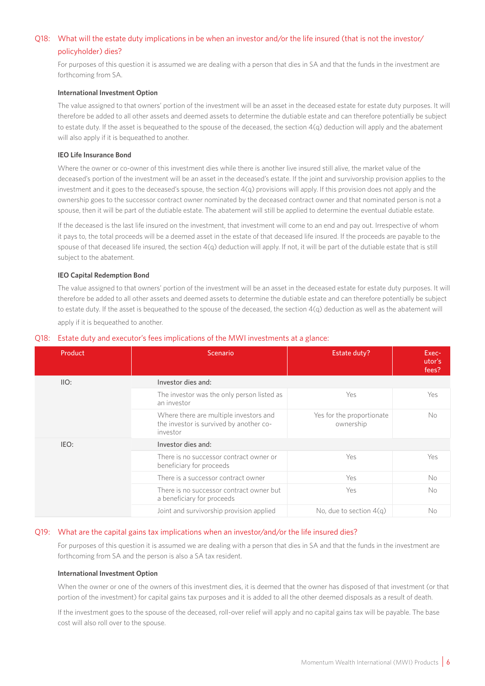### Q18: What will the estate duty implications in be when an investor and/or the life insured (that is not the investor/ policyholder) dies?

For purposes of this question it is assumed we are dealing with a person that dies in SA and that the funds in the investment are forthcoming from SA.

### **International Investment Option**

The value assigned to that owners' portion of the investment will be an asset in the deceased estate for estate duty purposes. It will therefore be added to all other assets and deemed assets to determine the dutiable estate and can therefore potentially be subject to estate duty. If the asset is bequeathed to the spouse of the deceased, the section 4(q) deduction will apply and the abatement will also apply if it is bequeathed to another.

### **IEO Life Insurance Bond**

Where the owner or co-owner of this investment dies while there is another live insured still alive, the market value of the deceased's portion of the investment will be an asset in the deceased's estate. If the joint and survivorship provision applies to the investment and it goes to the deceased's spouse, the section  $4(q)$  provisions will apply. If this provision does not apply and the ownership goes to the successor contract owner nominated by the deceased contract owner and that nominated person is not a spouse, then it will be part of the dutiable estate. The abatement will still be applied to determine the eventual dutiable estate.

If the deceased is the last life insured on the investment, that investment will come to an end and pay out. Irrespective of whom it pays to, the total proceeds will be a deemed asset in the estate of that deceased life insured. If the proceeds are payable to the spouse of that deceased life insured, the section 4(q) deduction will apply. If not, it will be part of the dutiable estate that is still subject to the abatement.

### **IEO Capital Redemption Bond**

The value assigned to that owners' portion of the investment will be an asset in the deceased estate for estate duty purposes. It will therefore be added to all other assets and deemed assets to determine the dutiable estate and can therefore potentially be subject to estate duty. If the asset is bequeathed to the spouse of the deceased, the section 4(q) deduction as well as the abatement will apply if it is bequeathed to another.

| Product | Scenario                                                                                      | Estate duty?                           | Exec-<br>utor's<br>fees? |  |
|---------|-----------------------------------------------------------------------------------------------|----------------------------------------|--------------------------|--|
| IIO:    | Investor dies and:                                                                            |                                        |                          |  |
|         | The investor was the only person listed as<br>an investor                                     | Yes                                    | Yes                      |  |
|         | Where there are multiple investors and<br>the investor is survived by another co-<br>investor | Yes for the proportionate<br>ownership | <b>No</b>                |  |
| IEO:    | Investor dies and:                                                                            |                                        |                          |  |
|         | There is no successor contract owner or<br>beneficiary for proceeds                           | Yes                                    | Yes                      |  |
|         | There is a successor contract owner                                                           | <b>Yes</b>                             | No                       |  |
|         | There is no successor contract owner but<br>a beneficiary for proceeds                        | Yes                                    | <b>No</b>                |  |
|         | Joint and survivorship provision applied                                                      | No, due to section $4(q)$              | No                       |  |

### Q18: Estate duty and executor's fees implications of the MWI investments at a glance:

### Q19: What are the capital gains tax implications when an investor/and/or the life insured dies?

For purposes of this question it is assumed we are dealing with a person that dies in SA and that the funds in the investment are forthcoming from SA and the person is also a SA tax resident.

### **International Investment Option**

When the owner or one of the owners of this investment dies, it is deemed that the owner has disposed of that investment (or that portion of the investment) for capital gains tax purposes and it is added to all the other deemed disposals as a result of death.

If the investment goes to the spouse of the deceased, roll-over relief will apply and no capital gains tax will be payable. The base cost will also roll over to the spouse.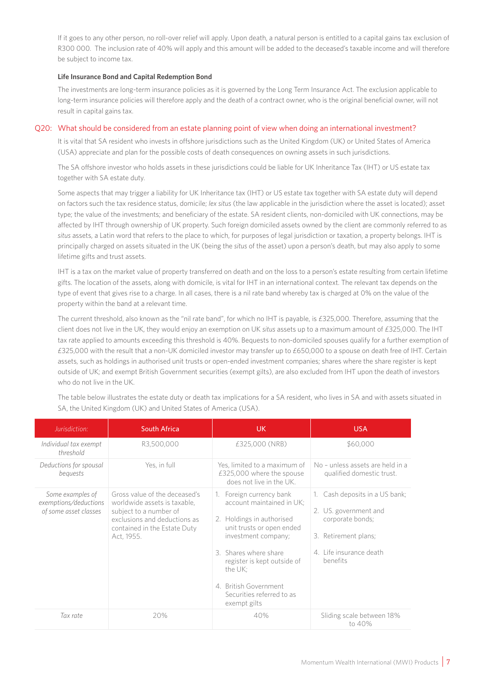If it goes to any other person, no roll-over relief will apply. Upon death, a natural person is entitled to a capital gains tax exclusion of R300 000. The inclusion rate of 40% will apply and this amount will be added to the deceased's taxable income and will therefore be subject to income tax.

### **Life Insurance Bond and Capital Redemption Bond**

The investments are long-term insurance policies as it is governed by the Long Term Insurance Act. The exclusion applicable to long-term insurance policies will therefore apply and the death of a contract owner, who is the original beneficial owner, will not result in capital gains tax.

### Q20: What should be considered from an estate planning point of view when doing an international investment?

It is vital that SA resident who invests in offshore jurisdictions such as the United Kingdom (UK) or United States of America (USA) appreciate and plan for the possible costs of death consequences on owning assets in such jurisdictions.

The SA offshore investor who holds assets in these jurisdictions could be liable for UK Inheritance Tax (IHT) or US estate tax together with SA estate duty.

Some aspects that may trigger a liability for UK Inheritance tax (IHT) or US estate tax together with SA estate duty will depend on factors such the tax residence status, domicile; *lex situs* (the law applicable in the jurisdiction where the asset is located); asset type; the value of the investments; and beneficiary of the estate. SA resident clients, non-domiciled with UK connections, may be affected by IHT through ownership of UK property. Such foreign domiciled assets owned by the client are commonly referred to as *situs* assets, a Latin word that refers to the place to which, for purposes of legal jurisdiction or taxation, a property belongs. IHT is principally charged on assets situated in the UK (being the *situs* of the asset) upon a person's death, but may also apply to some lifetime gifts and trust assets.

IHT is a tax on the market value of property transferred on death and on the loss to a person's estate resulting from certain lifetime gifts. The location of the assets, along with domicile, is vital for IHT in an international context. The relevant tax depends on the type of event that gives rise to a charge. In all cases, there is a nil rate band whereby tax is charged at 0% on the value of the property within the band at a relevant time.

The current threshold, also known as the "nil rate band", for which no IHT is payable, is £325,000. Therefore, assuming that the client does not live in the UK, they would enjoy an exemption on UK *situs* assets up to a maximum amount of £325,000. The IHT tax rate applied to amounts exceeding this threshold is 40%. Bequests to non-domiciled spouses qualify for a further exemption of £325,000 with the result that a non-UK domiciled investor may transfer up to £650,000 to a spouse on death free of IHT. Certain assets, such as holdings in authorised unit trusts or open-ended investment companies; shares where the share register is kept outside of UK; and exempt British Government securities (exempt gilts), are also excluded from IHT upon the death of investors who do not live in the UK.

| Jurisdiction:                                                      | <b>South Africa</b>                                                                                                                                                   | UK.                                                                                                                                                                                                                                                                             | <b>USA</b>                                                                                                                                    |
|--------------------------------------------------------------------|-----------------------------------------------------------------------------------------------------------------------------------------------------------------------|---------------------------------------------------------------------------------------------------------------------------------------------------------------------------------------------------------------------------------------------------------------------------------|-----------------------------------------------------------------------------------------------------------------------------------------------|
| Individual tax exempt<br>threshold                                 | R3,500,000                                                                                                                                                            | £325,000 (NRB)                                                                                                                                                                                                                                                                  | \$60,000                                                                                                                                      |
| Deductions for spousal<br>bequests                                 | Yes, in full                                                                                                                                                          | Yes, limited to a maximum of<br>£325,000 where the spouse<br>does not live in the UK.                                                                                                                                                                                           | No - unless assets are held in a<br>qualified domestic trust.                                                                                 |
| Some examples of<br>exemptions/deductions<br>of some asset classes | Gross value of the deceased's<br>worldwide assets is taxable,<br>subject to a number of<br>exclusions and deductions as<br>contained in the Estate Duty<br>Act, 1955. | 1. Foreign currency bank<br>account maintained in UK:<br>2. Holdings in authorised<br>unit trusts or open ended<br>investment company;<br>3. Shares where share<br>register is kept outside of<br>the UK;<br>4. British Government<br>Securities referred to as<br>exempt gilts | Cash deposits in a US bank;<br>1.<br>2. US. government and<br>corporate bonds;<br>3. Retirement plans;<br>4. Life insurance death<br>benefits |
| Tax rate                                                           | 20%                                                                                                                                                                   | 40%                                                                                                                                                                                                                                                                             | Sliding scale between 18%<br>to 40%                                                                                                           |

The table below illustrates the estate duty or death tax implications for a SA resident, who lives in SA and with assets situated in SA, the United Kingdom (UK) and United States of America (USA).